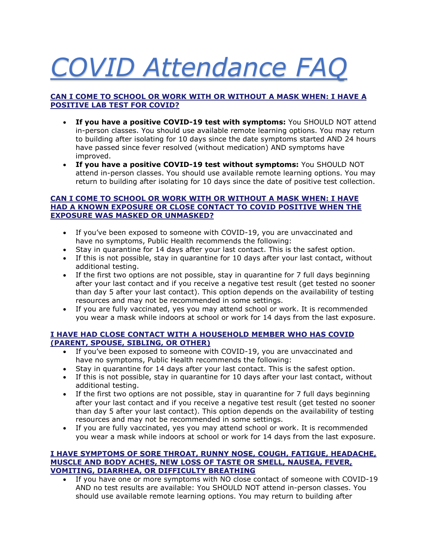# *COVID Attendance FAQ*

#### **CAN I COME TO SCHOOL OR WORK WITH OR WITHOUT A MASK WHEN: I HAVE A POSITIVE LAB TEST FOR COVID?**

- **If you have a positive COVID-19 test with symptoms:** You SHOULD NOT attend in-person classes. You should use available remote learning options. You may return to building after isolating for 10 days since the date symptoms started AND 24 hours have passed since fever resolved (without medication) AND symptoms have improved.
- **If you have a positive COVID-19 test without symptoms:** You SHOULD NOT attend in-person classes. You should use available remote learning options. You may return to building after isolating for 10 days since the date of positive test collection.

#### **CAN I COME TO SCHOOL OR WORK WITH OR WITHOUT A MASK WHEN: I HAVE HAD A KNOWN EXPOSURE OR CLOSE CONTACT TO COVID POSITIVE WHEN THE EXPOSURE WAS MASKED OR UNMASKED?**

- If you've been exposed to someone with COVID-19, you are unvaccinated and have no symptoms, Public Health recommends the following:
- Stay in quarantine for 14 days after your last contact. This is the safest option.
- If this is not possible, stay in quarantine for 10 days after your last contact, without additional testing.
- If the first two options are not possible, stay in quarantine for 7 full days beginning after your last contact and if you receive a negative test result (get tested no sooner than day 5 after your last contact). This option depends on the availability of testing resources and may not be recommended in some settings.
- If you are fully vaccinated, yes you may attend school or work. It is recommended you wear a mask while indoors at school or work for 14 days from the last exposure.

#### **I HAVE HAD CLOSE CONTACT WITH A HOUSEHOLD MEMBER WHO HAS COVID (PARENT, SPOUSE, SIBLING, OR OTHER)**

- If you've been exposed to someone with COVID-19, you are unvaccinated and have no symptoms, Public Health recommends the following:
- Stay in quarantine for 14 days after your last contact. This is the safest option.
- If this is not possible, stay in quarantine for 10 days after your last contact, without additional testing.
- If the first two options are not possible, stay in quarantine for 7 full days beginning after your last contact and if you receive a negative test result (get tested no sooner than day 5 after your last contact). This option depends on the availability of testing resources and may not be recommended in some settings.
- If you are fully vaccinated, yes you may attend school or work. It is recommended you wear a mask while indoors at school or work for 14 days from the last exposure.

#### **I HAVE SYMPTOMS OF SORE THROAT, RUNNY NOSE, COUGH, FATIGUE, HEADACHE, MUSCLE AND BODY ACHES, NEW LOSS OF TASTE OR SMELL, NAUSEA, FEVER, VOMITING, DIARRHEA, OR DIFFICULTY BREATHING**

• If you have one or more symptoms with NO close contact of someone with COVID-19 AND no test results are available: You SHOULD NOT attend in-person classes. You should use available remote learning options. You may return to building after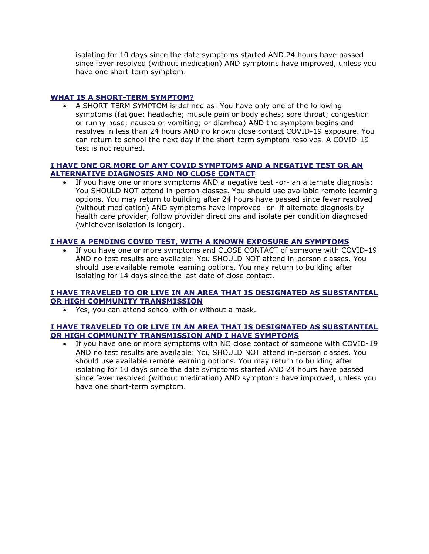isolating for 10 days since the date symptoms started AND 24 hours have passed since fever resolved (without medication) AND symptoms have improved, unless you have one short-term symptom.

#### **WHAT IS A SHORT-TERM SYMPTOM?**

• A SHORT-TERM SYMPTOM is defined as: You have only one of the following symptoms (fatigue; headache; muscle pain or body aches; sore throat; congestion or runny nose; nausea or vomiting; or diarrhea) AND the symptom begins and resolves in less than 24 hours AND no known close contact COVID-19 exposure. You can return to school the next day if the short-term symptom resolves. A COVID-19 test is not required.

#### **I HAVE ONE OR MORE OF ANY COVID SYMPTOMS AND A NEGATIVE TEST OR AN ALTERNATIVE DIAGNOSIS AND NO CLOSE CONTACT**

If you have one or more symptoms AND a negative test -or- an alternate diagnosis: You SHOULD NOT attend in-person classes. You should use available remote learning options. You may return to building after 24 hours have passed since fever resolved (without medication) AND symptoms have improved -or- if alternate diagnosis by health care provider, follow provider directions and isolate per condition diagnosed (whichever isolation is longer).

#### **I HAVE A PENDING COVID TEST, WITH A KNOWN EXPOSURE AN SYMPTOMS**

• If you have one or more symptoms and CLOSE CONTACT of someone with COVID-19 AND no test results are available: You SHOULD NOT attend in-person classes. You should use available remote learning options. You may return to building after isolating for 14 days since the last date of close contact.

#### **I HAVE TRAVELED TO OR LIVE IN AN AREA THAT IS DESIGNATED AS SUBSTANTIAL OR HIGH COMMUNITY TRANSMISSION**

• Yes, you can attend school with or without a mask.

#### **I HAVE TRAVELED TO OR LIVE IN AN AREA THAT IS DESIGNATED AS SUBSTANTIAL OR HIGH COMMUNITY TRANSMISSION AND I HAVE SYMPTOMS**

• If you have one or more symptoms with NO close contact of someone with COVID-19 AND no test results are available: You SHOULD NOT attend in-person classes. You should use available remote learning options. You may return to building after isolating for 10 days since the date symptoms started AND 24 hours have passed since fever resolved (without medication) AND symptoms have improved, unless you have one short-term symptom.